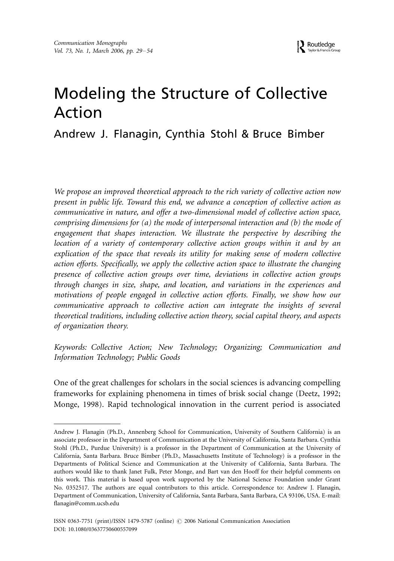# Modeling the Structure of Collective Action

Andrew J. Flanagin, Cynthia Stohl & Bruce Bimber

We propose an improved theoretical approach to the rich variety of collective action now present in public life. Toward this end, we advance a conception of collective action as communicative in nature, and offer a two-dimensional model of collective action space, comprising dimensions for (a) the mode of interpersonal interaction and (b) the mode of engagement that shapes interaction. We illustrate the perspective by describing the location of a variety of contemporary collective action groups within it and by an explication of the space that reveals its utility for making sense of modern collective action efforts. Specifically, we apply the collective action space to illustrate the changing presence of collective action groups over time, deviations in collective action groups through changes in size, shape, and location, and variations in the experiences and motivations of people engaged in collective action efforts. Finally, we show how our communicative approach to collective action can integrate the insights of several theoretical traditions, including collective action theory, social capital theory, and aspects of organization theory.

Keywords: Collective Action; New Technology; Organizing; Communication and Information Technology; Public Goods

One of the great challenges for scholars in the social sciences is advancing compelling frameworks for explaining phenomena in times of brisk social change (Deetz, 1992; Monge, 1998). Rapid technological innovation in the current period is associated

Andrew J. Flanagin (Ph.D., Annenberg School for Communication, University of Southern California) is an associate professor in the Department of Communication at the University of California, Santa Barbara. Cynthia Stohl (Ph.D., Purdue University) is a professor in the Department of Communication at the University of California, Santa Barbara. Bruce Bimber (Ph.D., Massachusetts Institute of Technology) is a professor in the Departments of Political Science and Communication at the University of California, Santa Barbara. The authors would like to thank Janet Fulk, Peter Monge, and Bart van den Hooff for their helpful comments on this work. This material is based upon work supported by the National Science Foundation under Grant No. 0352517. The authors are equal contributors to this article. Correspondence to: Andrew J. Flanagin, Department of Communication, University of California, Santa Barbara, Santa Barbara, CA 93106, USA. E-mail: flanagin@comm.ucsb.edu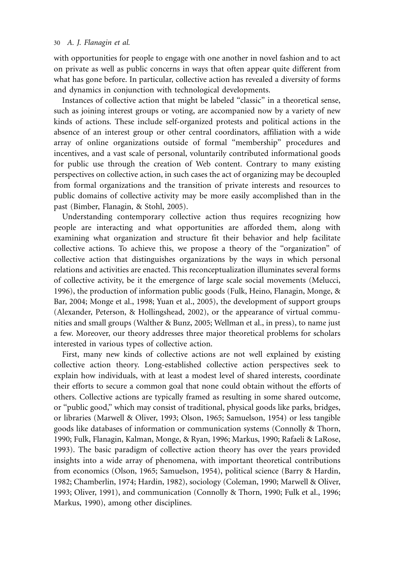with opportunities for people to engage with one another in novel fashion and to act on private as well as public concerns in ways that often appear quite different from what has gone before. In particular, collective action has revealed a diversity of forms and dynamics in conjunction with technological developments.

Instances of collective action that might be labeled ''classic'' in a theoretical sense, such as joining interest groups or voting, are accompanied now by a variety of new kinds of actions. These include self-organized protests and political actions in the absence of an interest group or other central coordinators, affiliation with a wide array of online organizations outside of formal ''membership'' procedures and incentives, and a vast scale of personal, voluntarily contributed informational goods for public use through the creation of Web content. Contrary to many existing perspectives on collective action, in such cases the act of organizing may be decoupled from formal organizations and the transition of private interests and resources to public domains of collective activity may be more easily accomplished than in the past (Bimber, Flanagin, & Stohl, 2005).

Understanding contemporary collective action thus requires recognizing how people are interacting and what opportunities are afforded them, along with examining what organization and structure fit their behavior and help facilitate collective actions. To achieve this, we propose a theory of the ''organization'' of collective action that distinguishes organizations by the ways in which personal relations and activities are enacted. This reconceptualization illuminates several forms of collective activity, be it the emergence of large scale social movements (Melucci, 1996), the production of information public goods (Fulk, Heino, Flanagin, Monge, & Bar, 2004; Monge et al., 1998; Yuan et al., 2005), the development of support groups (Alexander, Peterson, & Hollingshead, 2002), or the appearance of virtual communities and small groups (Walther & Bunz, 2005; Wellman et al., in press), to name just a few. Moreover, our theory addresses three major theoretical problems for scholars interested in various types of collective action.

First, many new kinds of collective actions are not well explained by existing collective action theory. Long-established collective action perspectives seek to explain how individuals, with at least a modest level of shared interests, coordinate their efforts to secure a common goal that none could obtain without the efforts of others. Collective actions are typically framed as resulting in some shared outcome, or ''public good,'' which may consist of traditional, physical goods like parks, bridges, or libraries (Marwell & Oliver, 1993; Olson, 1965; Samuelson, 1954) or less tangible goods like databases of information or communication systems (Connolly & Thorn, 1990; Fulk, Flanagin, Kalman, Monge, & Ryan, 1996; Markus, 1990; Rafaeli & LaRose, 1993). The basic paradigm of collective action theory has over the years provided insights into a wide array of phenomena, with important theoretical contributions from economics (Olson, 1965; Samuelson, 1954), political science (Barry & Hardin, 1982; Chamberlin, 1974; Hardin, 1982), sociology (Coleman, 1990; Marwell & Oliver, 1993; Oliver, 1991), and communication (Connolly & Thorn, 1990; Fulk et al., 1996; Markus, 1990), among other disciplines.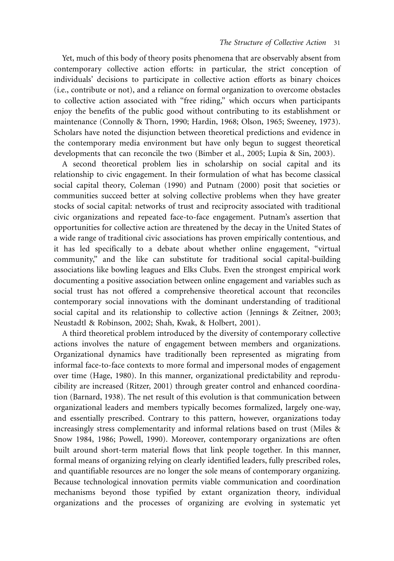Yet, much of this body of theory posits phenomena that are observably absent from contemporary collective action efforts: in particular, the strict conception of individuals' decisions to participate in collective action efforts as binary choices (i.e., contribute or not), and a reliance on formal organization to overcome obstacles to collective action associated with ''free riding,'' which occurs when participants enjoy the benefits of the public good without contributing to its establishment or maintenance (Connolly & Thorn, 1990; Hardin, 1968; Olson, 1965; Sweeney, 1973). Scholars have noted the disjunction between theoretical predictions and evidence in the contemporary media environment but have only begun to suggest theoretical developments that can reconcile the two (Bimber et al., 2005; Lupia & Sin, 2003).

A second theoretical problem lies in scholarship on social capital and its relationship to civic engagement. In their formulation of what has become classical social capital theory, Coleman (1990) and Putnam (2000) posit that societies or communities succeed better at solving collective problems when they have greater stocks of social capital: networks of trust and reciprocity associated with traditional civic organizations and repeated face-to-face engagement. Putnam's assertion that opportunities for collective action are threatened by the decay in the United States of a wide range of traditional civic associations has proven empirically contentious, and it has led specifically to a debate about whether online engagement, ''virtual community,'' and the like can substitute for traditional social capital-building associations like bowling leagues and Elks Clubs. Even the strongest empirical work documenting a positive association between online engagement and variables such as social trust has not offered a comprehensive theoretical account that reconciles contemporary social innovations with the dominant understanding of traditional social capital and its relationship to collective action (Jennings & Zeitner, 2003; Neustadtl & Robinson, 2002; Shah, Kwak, & Holbert, 2001).

A third theoretical problem introduced by the diversity of contemporary collective actions involves the nature of engagement between members and organizations. Organizational dynamics have traditionally been represented as migrating from informal face-to-face contexts to more formal and impersonal modes of engagement over time (Hage, 1980). In this manner, organizational predictability and reproducibility are increased (Ritzer, 2001) through greater control and enhanced coordination (Barnard, 1938). The net result of this evolution is that communication between organizational leaders and members typically becomes formalized, largely one-way, and essentially prescribed. Contrary to this pattern, however, organizations today increasingly stress complementarity and informal relations based on trust (Miles & Snow 1984, 1986; Powell, 1990). Moreover, contemporary organizations are often built around short-term material flows that link people together. In this manner, formal means of organizing relying on clearly identified leaders, fully prescribed roles, and quantifiable resources are no longer the sole means of contemporary organizing. Because technological innovation permits viable communication and coordination mechanisms beyond those typified by extant organization theory, individual organizations and the processes of organizing are evolving in systematic yet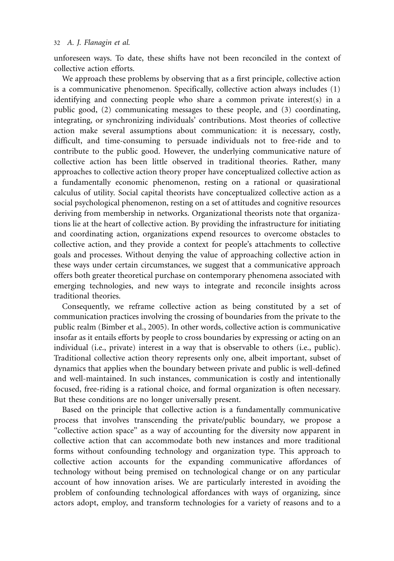unforeseen ways. To date, these shifts have not been reconciled in the context of collective action efforts.

We approach these problems by observing that as a first principle, collective action is a communicative phenomenon. Specifically, collective action always includes (1) identifying and connecting people who share a common private interest(s) in a public good, (2) communicating messages to these people, and (3) coordinating, integrating, or synchronizing individuals' contributions. Most theories of collective action make several assumptions about communication: it is necessary, costly, difficult, and time-consuming to persuade individuals not to free-ride and to contribute to the public good. However, the underlying communicative nature of collective action has been little observed in traditional theories. Rather, many approaches to collective action theory proper have conceptualized collective action as a fundamentally economic phenomenon, resting on a rational or quasirational calculus of utility. Social capital theorists have conceptualized collective action as a social psychological phenomenon, resting on a set of attitudes and cognitive resources deriving from membership in networks. Organizational theorists note that organizations lie at the heart of collective action. By providing the infrastructure for initiating and coordinating action, organizations expend resources to overcome obstacles to collective action, and they provide a context for people's attachments to collective goals and processes. Without denying the value of approaching collective action in these ways under certain circumstances, we suggest that a communicative approach offers both greater theoretical purchase on contemporary phenomena associated with emerging technologies, and new ways to integrate and reconcile insights across traditional theories.

Consequently, we reframe collective action as being constituted by a set of communication practices involving the crossing of boundaries from the private to the public realm (Bimber et al., 2005). In other words, collective action is communicative insofar as it entails efforts by people to cross boundaries by expressing or acting on an individual (i.e., private) interest in a way that is observable to others (i.e., public). Traditional collective action theory represents only one, albeit important, subset of dynamics that applies when the boundary between private and public is well-defined and well-maintained. In such instances, communication is costly and intentionally focused, free-riding is a rational choice, and formal organization is often necessary. But these conditions are no longer universally present.

Based on the principle that collective action is a fundamentally communicative process that involves transcending the private/public boundary, we propose a ''collective action space'' as a way of accounting for the diversity now apparent in collective action that can accommodate both new instances and more traditional forms without confounding technology and organization type. This approach to collective action accounts for the expanding communicative affordances of technology without being premised on technological change or on any particular account of how innovation arises. We are particularly interested in avoiding the problem of confounding technological affordances with ways of organizing, since actors adopt, employ, and transform technologies for a variety of reasons and to a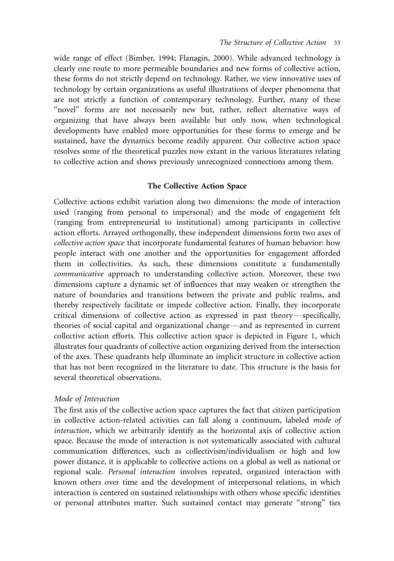wide range of effect (Bimber, 1994; Flanagin, 2000). While advanced technology is clearly one route to more permeable boundaries and new forms of collective action, these forms do not strictly depend on technology. Rather, we view innovative uses of technology by certain organizations as useful illustrations of deeper phenomena that are not strictly a function of contemporary technology. Further, many of these ''novel'' forms are not necessarily new but, rather, reflect alternative ways of organizing that have always been available but only now, when technological developments have enabled more opportunities for these forms to emerge and be sustained, have the dynamics become readily apparent. Our collective action space resolves some of the theoretical puzzles now extant in the various literatures relating to collective action and shows previously unrecognized connections among them.

# The Collective Action Space

Collective actions exhibit variation along two dimensions: the mode of interaction used (ranging from personal to impersonal) and the mode of engagement felt (ranging from entrepreneurial to institutional) among participants in collective action efforts. Arrayed orthogonally, these independent dimensions form two axes of collective action space that incorporate fundamental features of human behavior: how people interact with one another and the opportunities for engagement afforded them in collectivities. As such, these dimensions constitute a fundamentally communicative approach to understanding collective action. Moreover, these two dimensions capture a dynamic set of influences that may weaken or strengthen the nature of boundaries and transitions between the private and public realms, and thereby respectively facilitate or impede collective action. Finally, they incorporate critical dimensions of collective action as expressed in past theory—specifically, theories of social capital and organizational change\*/and as represented in current collective action efforts. This collective action space is depicted in Figure 1, which illustrates four quadrants of collective action organizing derived from the intersection of the axes. These quadrants help illuminate an implicit structure in collective action that has not been recognized in the literature to date. This structure is the basis for several theoretical observations.

# Mode of Interaction

The first axis of the collective action space captures the fact that citizen participation in collective action-related activities can fall along a continuum, labeled mode of interaction, which we arbitrarily identify as the horizontal axis of collective action space. Because the mode of interaction is not systematically associated with cultural communication differences, such as collectivism/individualism or high and low power distance, it is applicable to collective actions on a global as well as national or regional scale. Personal interaction involves repeated, organized interaction with known others over time and the development of interpersonal relations, in which interaction is centered on sustained relationships with others whose specific identities or personal attributes matter. Such sustained contact may generate ''strong'' ties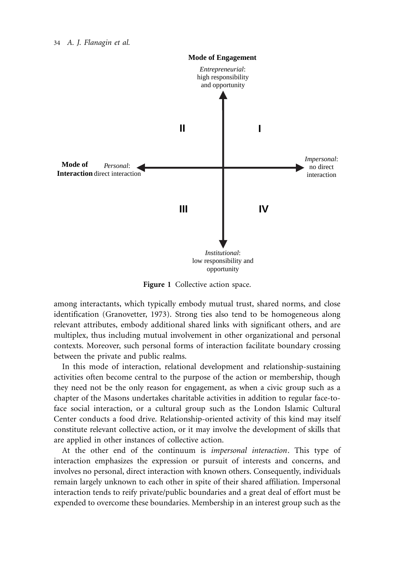

Figure 1 Collective action space.

among interactants, which typically embody mutual trust, shared norms, and close identification (Granovetter, 1973). Strong ties also tend to be homogeneous along relevant attributes, embody additional shared links with significant others, and are multiplex, thus including mutual involvement in other organizational and personal contexts. Moreover, such personal forms of interaction facilitate boundary crossing between the private and public realms.

In this mode of interaction, relational development and relationship-sustaining activities often become central to the purpose of the action or membership, though they need not be the only reason for engagement, as when a civic group such as a chapter of the Masons undertakes charitable activities in addition to regular face-toface social interaction, or a cultural group such as the London Islamic Cultural Center conducts a food drive. Relationship-oriented activity of this kind may itself constitute relevant collective action, or it may involve the development of skills that are applied in other instances of collective action.

At the other end of the continuum is impersonal interaction. This type of interaction emphasizes the expression or pursuit of interests and concerns, and involves no personal, direct interaction with known others. Consequently, individuals remain largely unknown to each other in spite of their shared affiliation. Impersonal interaction tends to reify private/public boundaries and a great deal of effort must be expended to overcome these boundaries. Membership in an interest group such as the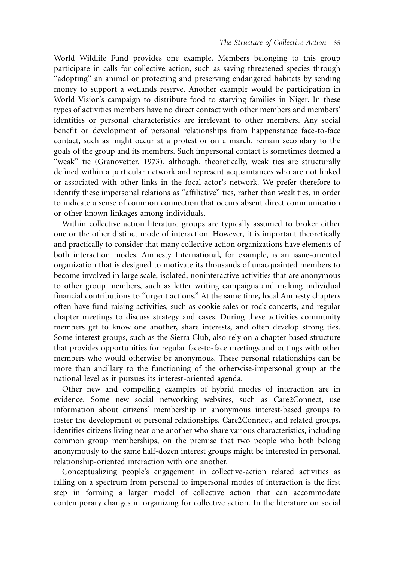World Wildlife Fund provides one example. Members belonging to this group participate in calls for collective action, such as saving threatened species through "adopting" an animal or protecting and preserving endangered habitats by sending money to support a wetlands reserve. Another example would be participation in World Vision's campaign to distribute food to starving families in Niger. In these types of activities members have no direct contact with other members and members' identities or personal characteristics are irrelevant to other members. Any social benefit or development of personal relationships from happenstance face-to-face contact, such as might occur at a protest or on a march, remain secondary to the goals of the group and its members. Such impersonal contact is sometimes deemed a ''weak'' tie (Granovetter, 1973), although, theoretically, weak ties are structurally defined within a particular network and represent acquaintances who are not linked or associated with other links in the focal actor's network. We prefer therefore to identify these impersonal relations as "affiliative" ties, rather than weak ties, in order to indicate a sense of common connection that occurs absent direct communication or other known linkages among individuals.

Within collective action literature groups are typically assumed to broker either one or the other distinct mode of interaction. However, it is important theoretically and practically to consider that many collective action organizations have elements of both interaction modes. Amnesty International, for example, is an issue-oriented organization that is designed to motivate its thousands of unacquainted members to become involved in large scale, isolated, noninteractive activities that are anonymous to other group members, such as letter writing campaigns and making individual financial contributions to ''urgent actions.'' At the same time, local Amnesty chapters often have fund-raising activities, such as cookie sales or rock concerts, and regular chapter meetings to discuss strategy and cases. During these activities community members get to know one another, share interests, and often develop strong ties. Some interest groups, such as the Sierra Club, also rely on a chapter-based structure that provides opportunities for regular face-to-face meetings and outings with other members who would otherwise be anonymous. These personal relationships can be more than ancillary to the functioning of the otherwise-impersonal group at the national level as it pursues its interest-oriented agenda.

Other new and compelling examples of hybrid modes of interaction are in evidence. Some new social networking websites, such as Care2Connect, use information about citizens' membership in anonymous interest-based groups to foster the development of personal relationships. Care2Connect, and related groups, identifies citizens living near one another who share various characteristics, including common group memberships, on the premise that two people who both belong anonymously to the same half-dozen interest groups might be interested in personal, relationship-oriented interaction with one another.

Conceptualizing people's engagement in collective-action related activities as falling on a spectrum from personal to impersonal modes of interaction is the first step in forming a larger model of collective action that can accommodate contemporary changes in organizing for collective action. In the literature on social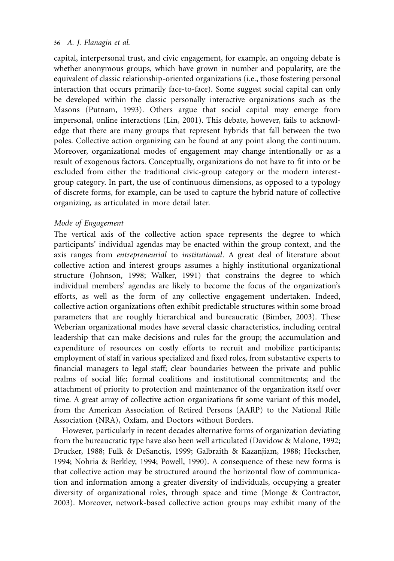capital, interpersonal trust, and civic engagement, for example, an ongoing debate is whether anonymous groups, which have grown in number and popularity, are the equivalent of classic relationship-oriented organizations (i.e., those fostering personal interaction that occurs primarily face-to-face). Some suggest social capital can only be developed within the classic personally interactive organizations such as the Masons (Putnam, 1993). Others argue that social capital may emerge from impersonal, online interactions (Lin, 2001). This debate, however, fails to acknowledge that there are many groups that represent hybrids that fall between the two poles. Collective action organizing can be found at any point along the continuum. Moreover, organizational modes of engagement may change intentionally or as a result of exogenous factors. Conceptually, organizations do not have to fit into or be excluded from either the traditional civic-group category or the modern interestgroup category. In part, the use of continuous dimensions, as opposed to a typology of discrete forms, for example, can be used to capture the hybrid nature of collective organizing, as articulated in more detail later.

# Mode of Engagement

The vertical axis of the collective action space represents the degree to which participants' individual agendas may be enacted within the group context, and the axis ranges from entrepreneurial to institutional. A great deal of literature about collective action and interest groups assumes a highly institutional organizational structure (Johnson, 1998; Walker, 1991) that constrains the degree to which individual members' agendas are likely to become the focus of the organization's efforts, as well as the form of any collective engagement undertaken. Indeed, collective action organizations often exhibit predictable structures within some broad parameters that are roughly hierarchical and bureaucratic (Bimber, 2003). These Weberian organizational modes have several classic characteristics, including central leadership that can make decisions and rules for the group; the accumulation and expenditure of resources on costly efforts to recruit and mobilize participants; employment of staff in various specialized and fixed roles, from substantive experts to financial managers to legal staff; clear boundaries between the private and public realms of social life; formal coalitions and institutional commitments; and the attachment of priority to protection and maintenance of the organization itself over time. A great array of collective action organizations fit some variant of this model, from the American Association of Retired Persons (AARP) to the National Rifle Association (NRA), Oxfam, and Doctors without Borders.

However, particularly in recent decades alternative forms of organization deviating from the bureaucratic type have also been well articulated (Davidow & Malone, 1992; Drucker, 1988; Fulk & DeSanctis, 1999; Galbraith & Kazanjiam, 1988; Heckscher, 1994; Nohria & Berkley, 1994; Powell, 1990). A consequence of these new forms is that collective action may be structured around the horizontal flow of communication and information among a greater diversity of individuals, occupying a greater diversity of organizational roles, through space and time (Monge & Contractor, 2003). Moreover, network-based collective action groups may exhibit many of the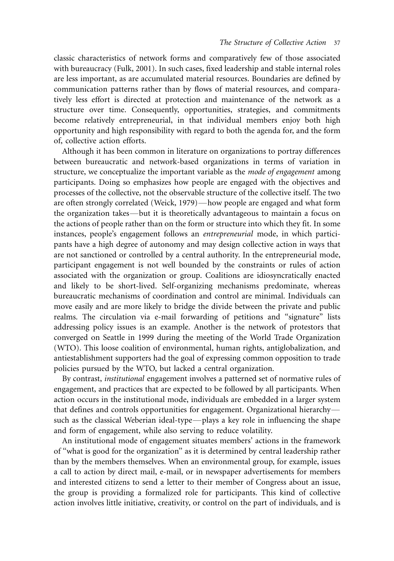classic characteristics of network forms and comparatively few of those associated with bureaucracy (Fulk, 2001). In such cases, fixed leadership and stable internal roles are less important, as are accumulated material resources. Boundaries are defined by communication patterns rather than by flows of material resources, and comparatively less effort is directed at protection and maintenance of the network as a structure over time. Consequently, opportunities, strategies, and commitments become relatively entrepreneurial, in that individual members enjoy both high opportunity and high responsibility with regard to both the agenda for, and the form of, collective action efforts.

Although it has been common in literature on organizations to portray differences between bureaucratic and network-based organizations in terms of variation in structure, we conceptualize the important variable as the *mode of engagement* among participants. Doing so emphasizes how people are engaged with the objectives and processes of the collective, not the observable structure of the collective itself. The two are often strongly correlated (Weick, 1979)—how people are engaged and what form the organization takes—but it is theoretically advantageous to maintain a focus on the actions of people rather than on the form or structure into which they fit. In some instances, people's engagement follows an entrepreneurial mode, in which participants have a high degree of autonomy and may design collective action in ways that are not sanctioned or controlled by a central authority. In the entrepreneurial mode, participant engagement is not well bounded by the constraints or rules of action associated with the organization or group. Coalitions are idiosyncratically enacted and likely to be short-lived. Self-organizing mechanisms predominate, whereas bureaucratic mechanisms of coordination and control are minimal. Individuals can move easily and are more likely to bridge the divide between the private and public realms. The circulation via e-mail forwarding of petitions and ''signature'' lists addressing policy issues is an example. Another is the network of protestors that converged on Seattle in 1999 during the meeting of the World Trade Organization (WTO). This loose coalition of environmental, human rights, antiglobalization, and antiestablishment supporters had the goal of expressing common opposition to trade policies pursued by the WTO, but lacked a central organization.

By contrast, institutional engagement involves a patterned set of normative rules of engagement, and practices that are expected to be followed by all participants. When action occurs in the institutional mode, individuals are embedded in a larger system that defines and controls opportunities for engagement. Organizational hierarchy\*/ such as the classical Weberian ideal-type—plays a key role in influencing the shape and form of engagement, while also serving to reduce volatility.

An institutional mode of engagement situates members' actions in the framework of ''what is good for the organization'' as it is determined by central leadership rather than by the members themselves. When an environmental group, for example, issues a call to action by direct mail, e-mail, or in newspaper advertisements for members and interested citizens to send a letter to their member of Congress about an issue, the group is providing a formalized role for participants. This kind of collective action involves little initiative, creativity, or control on the part of individuals, and is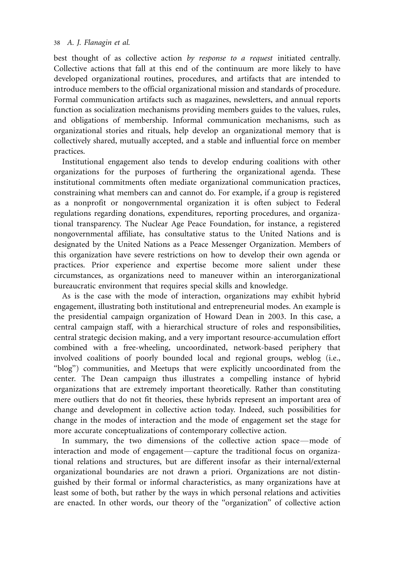best thought of as collective action by response to a request initiated centrally. Collective actions that fall at this end of the continuum are more likely to have developed organizational routines, procedures, and artifacts that are intended to introduce members to the official organizational mission and standards of procedure. Formal communication artifacts such as magazines, newsletters, and annual reports function as socialization mechanisms providing members guides to the values, rules, and obligations of membership. Informal communication mechanisms, such as organizational stories and rituals, help develop an organizational memory that is collectively shared, mutually accepted, and a stable and influential force on member practices.

Institutional engagement also tends to develop enduring coalitions with other organizations for the purposes of furthering the organizational agenda. These institutional commitments often mediate organizational communication practices, constraining what members can and cannot do. For example, if a group is registered as a nonprofit or nongovernmental organization it is often subject to Federal regulations regarding donations, expenditures, reporting procedures, and organizational transparency. The Nuclear Age Peace Foundation, for instance, a registered nongovernmental affiliate, has consultative status to the United Nations and is designated by the United Nations as a Peace Messenger Organization. Members of this organization have severe restrictions on how to develop their own agenda or practices. Prior experience and expertise become more salient under these circumstances, as organizations need to maneuver within an interorganizational bureaucratic environment that requires special skills and knowledge.

As is the case with the mode of interaction, organizations may exhibit hybrid engagement, illustrating both institutional and entrepreneurial modes. An example is the presidential campaign organization of Howard Dean in 2003. In this case, a central campaign staff, with a hierarchical structure of roles and responsibilities, central strategic decision making, and a very important resource-accumulation effort combined with a free-wheeling, uncoordinated, network-based periphery that involved coalitions of poorly bounded local and regional groups, weblog (i.e., ''blog'') communities, and Meetups that were explicitly uncoordinated from the center. The Dean campaign thus illustrates a compelling instance of hybrid organizations that are extremely important theoretically. Rather than constituting mere outliers that do not fit theories, these hybrids represent an important area of change and development in collective action today. Indeed, such possibilities for change in the modes of interaction and the mode of engagement set the stage for more accurate conceptualizations of contemporary collective action.

In summary, the two dimensions of the collective action space—mode of interaction and mode of engagement—capture the traditional focus on organizational relations and structures, but are different insofar as their internal/external organizational boundaries are not drawn a priori. Organizations are not distinguished by their formal or informal characteristics, as many organizations have at least some of both, but rather by the ways in which personal relations and activities are enacted. In other words, our theory of the ''organization'' of collective action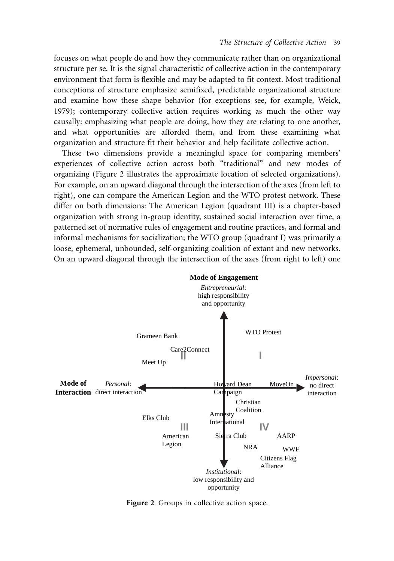focuses on what people do and how they communicate rather than on organizational structure per se. It is the signal characteristic of collective action in the contemporary environment that form is flexible and may be adapted to fit context. Most traditional conceptions of structure emphasize semifixed, predictable organizational structure and examine how these shape behavior (for exceptions see, for example, Weick, 1979); contemporary collective action requires working as much the other way causally: emphasizing what people are doing, how they are relating to one another, and what opportunities are afforded them, and from these examining what organization and structure fit their behavior and help facilitate collective action.

These two dimensions provide a meaningful space for comparing members' experiences of collective action across both ''traditional'' and new modes of organizing (Figure 2 illustrates the approximate location of selected organizations). For example, on an upward diagonal through the intersection of the axes (from left to right), one can compare the American Legion and the WTO protest network. These differ on both dimensions: The American Legion (quadrant III) is a chapter-based organization with strong in-group identity, sustained social interaction over time, a patterned set of normative rules of engagement and routine practices, and formal and informal mechanisms for socialization; the WTO group (quadrant I) was primarily a loose, ephemeral, unbounded, self-organizing coalition of extant and new networks. On an upward diagonal through the intersection of the axes (from right to left) one



Figure 2 Groups in collective action space.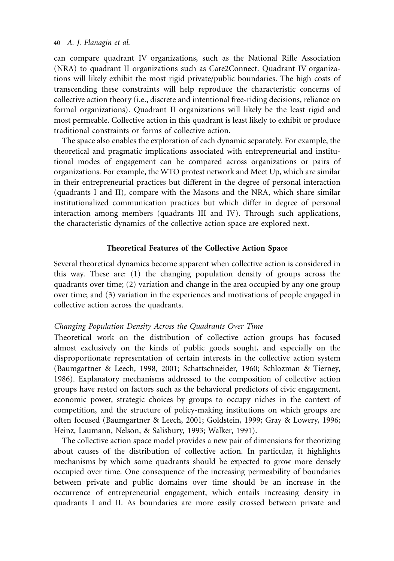can compare quadrant IV organizations, such as the National Rifle Association (NRA) to quadrant II organizations such as Care2Connect. Quadrant IV organizations will likely exhibit the most rigid private/public boundaries. The high costs of transcending these constraints will help reproduce the characteristic concerns of collective action theory (i.e., discrete and intentional free-riding decisions, reliance on formal organizations). Quadrant II organizations will likely be the least rigid and most permeable. Collective action in this quadrant is least likely to exhibit or produce traditional constraints or forms of collective action.

The space also enables the exploration of each dynamic separately. For example, the theoretical and pragmatic implications associated with entrepreneurial and institutional modes of engagement can be compared across organizations or pairs of organizations. For example, the WTO protest network and Meet Up, which are similar in their entrepreneurial practices but different in the degree of personal interaction (quadrants I and II), compare with the Masons and the NRA, which share similar institutionalized communication practices but which differ in degree of personal interaction among members (quadrants III and IV). Through such applications, the characteristic dynamics of the collective action space are explored next.

# Theoretical Features of the Collective Action Space

Several theoretical dynamics become apparent when collective action is considered in this way. These are: (1) the changing population density of groups across the quadrants over time; (2) variation and change in the area occupied by any one group over time; and (3) variation in the experiences and motivations of people engaged in collective action across the quadrants.

# Changing Population Density Across the Quadrants Over Time

Theoretical work on the distribution of collective action groups has focused almost exclusively on the kinds of public goods sought, and especially on the disproportionate representation of certain interests in the collective action system (Baumgartner & Leech, 1998, 2001; Schattschneider, 1960; Schlozman & Tierney, 1986). Explanatory mechanisms addressed to the composition of collective action groups have rested on factors such as the behavioral predictors of civic engagement, economic power, strategic choices by groups to occupy niches in the context of competition, and the structure of policy-making institutions on which groups are often focused (Baumgartner & Leech, 2001; Goldstein, 1999; Gray & Lowery, 1996; Heinz, Laumann, Nelson, & Salisbury, 1993; Walker, 1991).

The collective action space model provides a new pair of dimensions for theorizing about causes of the distribution of collective action. In particular, it highlights mechanisms by which some quadrants should be expected to grow more densely occupied over time. One consequence of the increasing permeability of boundaries between private and public domains over time should be an increase in the occurrence of entrepreneurial engagement, which entails increasing density in quadrants I and II. As boundaries are more easily crossed between private and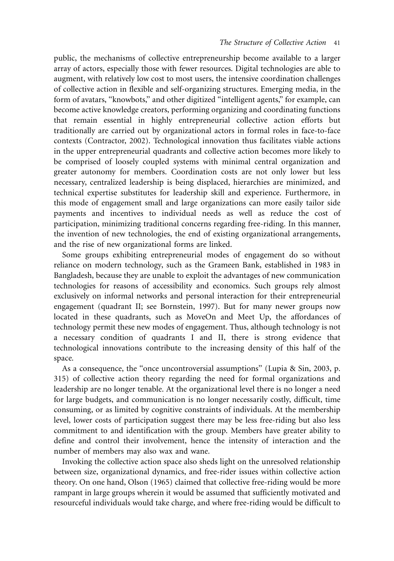public, the mechanisms of collective entrepreneurship become available to a larger array of actors, especially those with fewer resources. Digital technologies are able to augment, with relatively low cost to most users, the intensive coordination challenges of collective action in flexible and self-organizing structures. Emerging media, in the form of avatars, "knowbots," and other digitized "intelligent agents," for example, can become active knowledge creators, performing organizing and coordinating functions that remain essential in highly entrepreneurial collective action efforts but traditionally are carried out by organizational actors in formal roles in face-to-face contexts (Contractor, 2002). Technological innovation thus facilitates viable actions in the upper entrepreneurial quadrants and collective action becomes more likely to be comprised of loosely coupled systems with minimal central organization and greater autonomy for members. Coordination costs are not only lower but less necessary, centralized leadership is being displaced, hierarchies are minimized, and technical expertise substitutes for leadership skill and experience. Furthermore, in this mode of engagement small and large organizations can more easily tailor side payments and incentives to individual needs as well as reduce the cost of participation, minimizing traditional concerns regarding free-riding. In this manner, the invention of new technologies, the end of existing organizational arrangements, and the rise of new organizational forms are linked.

Some groups exhibiting entrepreneurial modes of engagement do so without reliance on modern technology, such as the Grameen Bank, established in 1983 in Bangladesh, because they are unable to exploit the advantages of new communication technologies for reasons of accessibility and economics. Such groups rely almost exclusively on informal networks and personal interaction for their entrepreneurial engagement (quadrant II; see Bornstein, 1997). But for many newer groups now located in these quadrants, such as MoveOn and Meet Up, the affordances of technology permit these new modes of engagement. Thus, although technology is not a necessary condition of quadrants I and II, there is strong evidence that technological innovations contribute to the increasing density of this half of the space.

As a consequence, the ''once uncontroversial assumptions'' (Lupia & Sin, 2003, p. 315) of collective action theory regarding the need for formal organizations and leadership are no longer tenable. At the organizational level there is no longer a need for large budgets, and communication is no longer necessarily costly, difficult, time consuming, or as limited by cognitive constraints of individuals. At the membership level, lower costs of participation suggest there may be less free-riding but also less commitment to and identification with the group. Members have greater ability to define and control their involvement, hence the intensity of interaction and the number of members may also wax and wane.

Invoking the collective action space also sheds light on the unresolved relationship between size, organizational dynamics, and free-rider issues within collective action theory. On one hand, Olson (1965) claimed that collective free-riding would be more rampant in large groups wherein it would be assumed that sufficiently motivated and resourceful individuals would take charge, and where free-riding would be difficult to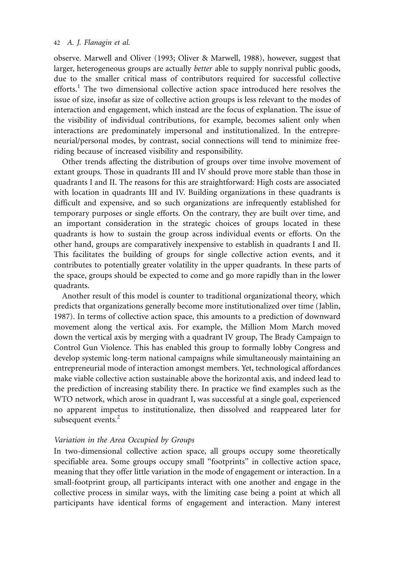observe. Marwell and Oliver (1993; Oliver & Marwell, 1988), however, suggest that larger, heterogeneous groups are actually *better* able to supply nonrival public goods, due to the smaller critical mass of contributors required for successful collective efforts.<sup>1</sup> The two dimensional collective action space introduced here resolves the issue of size, insofar as size of collective action groups is less relevant to the modes of interaction and engagement, which instead are the focus of explanation. The issue of the visibility of individual contributions, for example, becomes salient only when interactions are predominately impersonal and institutionalized. In the entrepreneurial/personal modes, by contrast, social connections will tend to minimize freeriding because of increased visibility and responsibility.

Other trends affecting the distribution of groups over time involve movement of extant groups. Those in quadrants III and IV should prove more stable than those in quadrants I and II. The reasons for this are straightforward: High costs are associated with location in quadrants III and IV. Building organizations in these quadrants is difficult and expensive, and so such organizations are infrequently established for temporary purposes or single efforts. On the contrary, they are built over time, and an important consideration in the strategic choices of groups located in these quadrants is how to sustain the group across individual events or efforts. On the other hand, groups are comparatively inexpensive to establish in quadrants I and II. This facilitates the building of groups for single collective action events, and it contributes to potentially greater volatility in the upper quadrants. In these parts of the space, groups should be expected to come and go more rapidly than in the lower quadrants.

Another result of this model is counter to traditional organizational theory, which predicts that organizations generally become more institutionalized over time (Jablin, 1987). In terms of collective action space, this amounts to a prediction of downward movement along the vertical axis. For example, the Million Mom March moved down the vertical axis by merging with a quadrant IV group, The Brady Campaign to Control Gun Violence. This has enabled this group to formally lobby Congress and develop systemic long-term national campaigns while simultaneously maintaining an entrepreneurial mode of interaction amongst members. Yet, technological affordances make viable collective action sustainable above the horizontal axis, and indeed lead to the prediction of increasing stability there. In practice we find examples such as the WTO network, which arose in quadrant I, was successful at a single goal, experienced no apparent impetus to institutionalize, then dissolved and reappeared later for subsequent events.<sup>2</sup>

# Variation in the Area Occupied by Groups

In two-dimensional collective action space, all groups occupy some theoretically specifiable area. Some groups occupy small ''footprints'' in collective action space, meaning that they offer little variation in the mode of engagement or interaction. In a small-footprint group, all participants interact with one another and engage in the collective process in similar ways, with the limiting case being a point at which all participants have identical forms of engagement and interaction. Many interest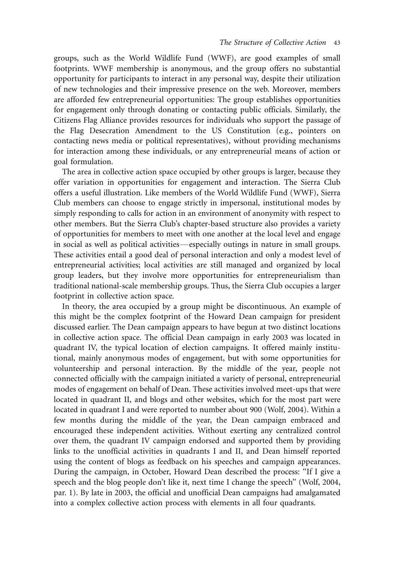groups, such as the World Wildlife Fund (WWF), are good examples of small footprints. WWF membership is anonymous, and the group offers no substantial opportunity for participants to interact in any personal way, despite their utilization of new technologies and their impressive presence on the web. Moreover, members are afforded few entrepreneurial opportunities: The group establishes opportunities for engagement only through donating or contacting public officials. Similarly, the Citizens Flag Alliance provides resources for individuals who support the passage of the Flag Desecration Amendment to the US Constitution (e.g., pointers on contacting news media or political representatives), without providing mechanisms for interaction among these individuals, or any entrepreneurial means of action or goal formulation.

The area in collective action space occupied by other groups is larger, because they offer variation in opportunities for engagement and interaction. The Sierra Club offers a useful illustration. Like members of the World Wildlife Fund (WWF), Sierra Club members can choose to engage strictly in impersonal, institutional modes by simply responding to calls for action in an environment of anonymity with respect to other members. But the Sierra Club's chapter-based structure also provides a variety of opportunities for members to meet with one another at the local level and engage in social as well as political activities—especially outings in nature in small groups. These activities entail a good deal of personal interaction and only a modest level of entrepreneurial activities; local activities are still managed and organized by local group leaders, but they involve more opportunities for entrepreneurialism than traditional national-scale membership groups. Thus, the Sierra Club occupies a larger footprint in collective action space.

In theory, the area occupied by a group might be discontinuous. An example of this might be the complex footprint of the Howard Dean campaign for president discussed earlier. The Dean campaign appears to have begun at two distinct locations in collective action space. The official Dean campaign in early 2003 was located in quadrant IV, the typical location of election campaigns. It offered mainly institutional, mainly anonymous modes of engagement, but with some opportunities for volunteership and personal interaction. By the middle of the year, people not connected officially with the campaign initiated a variety of personal, entrepreneurial modes of engagement on behalf of Dean. These activities involved meet-ups that were located in quadrant II, and blogs and other websites, which for the most part were located in quadrant I and were reported to number about 900 (Wolf, 2004). Within a few months during the middle of the year, the Dean campaign embraced and encouraged these independent activities. Without exerting any centralized control over them, the quadrant IV campaign endorsed and supported them by providing links to the unofficial activities in quadrants I and II, and Dean himself reported using the content of blogs as feedback on his speeches and campaign appearances. During the campaign, in October, Howard Dean described the process: ''If I give a speech and the blog people don't like it, next time I change the speech'' (Wolf, 2004, par. 1). By late in 2003, the official and unofficial Dean campaigns had amalgamated into a complex collective action process with elements in all four quadrants.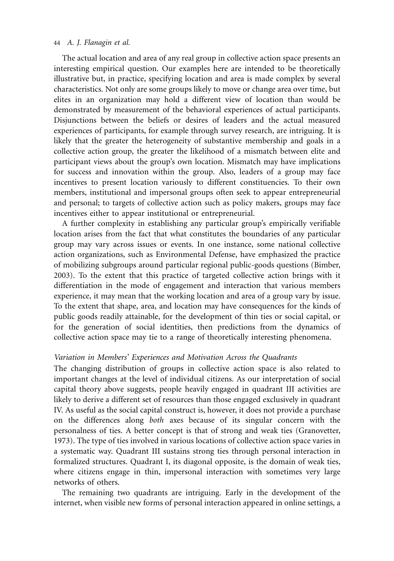The actual location and area of any real group in collective action space presents an interesting empirical question. Our examples here are intended to be theoretically illustrative but, in practice, specifying location and area is made complex by several characteristics. Not only are some groups likely to move or change area over time, but elites in an organization may hold a different view of location than would be demonstrated by measurement of the behavioral experiences of actual participants. Disjunctions between the beliefs or desires of leaders and the actual measured experiences of participants, for example through survey research, are intriguing. It is likely that the greater the heterogeneity of substantive membership and goals in a collective action group, the greater the likelihood of a mismatch between elite and participant views about the group's own location. Mismatch may have implications for success and innovation within the group. Also, leaders of a group may face incentives to present location variously to different constituencies. To their own members, institutional and impersonal groups often seek to appear entrepreneurial and personal; to targets of collective action such as policy makers, groups may face incentives either to appear institutional or entrepreneurial.

A further complexity in establishing any particular group's empirically verifiable location arises from the fact that what constitutes the boundaries of any particular group may vary across issues or events. In one instance, some national collective action organizations, such as Environmental Defense, have emphasized the practice of mobilizing subgroups around particular regional public-goods questions (Bimber, 2003). To the extent that this practice of targeted collective action brings with it differentiation in the mode of engagement and interaction that various members experience, it may mean that the working location and area of a group vary by issue. To the extent that shape, area, and location may have consequences for the kinds of public goods readily attainable, for the development of thin ties or social capital, or for the generation of social identities, then predictions from the dynamics of collective action space may tie to a range of theoretically interesting phenomena.

# Variation in Members' Experiences and Motivation Across the Quadrants

The changing distribution of groups in collective action space is also related to important changes at the level of individual citizens. As our interpretation of social capital theory above suggests, people heavily engaged in quadrant III activities are likely to derive a different set of resources than those engaged exclusively in quadrant IV. As useful as the social capital construct is, however, it does not provide a purchase on the differences along both axes because of its singular concern with the personalness of ties. A better concept is that of strong and weak ties (Granovetter, 1973). The type of ties involved in various locations of collective action space varies in a systematic way. Quadrant III sustains strong ties through personal interaction in formalized structures. Quadrant I, its diagonal opposite, is the domain of weak ties, where citizens engage in thin, impersonal interaction with sometimes very large networks of others.

The remaining two quadrants are intriguing. Early in the development of the internet, when visible new forms of personal interaction appeared in online settings, a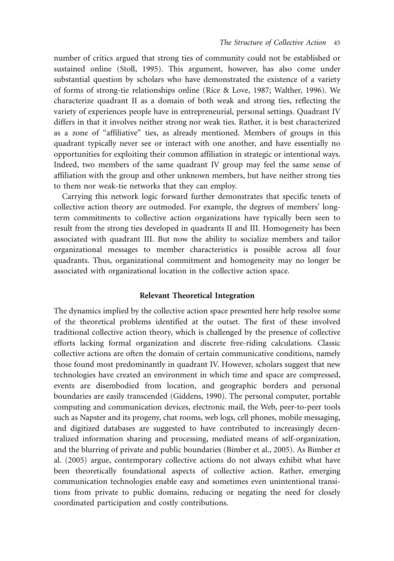number of critics argued that strong ties of community could not be established or sustained online (Stoll, 1995). This argument, however, has also come under substantial question by scholars who have demonstrated the existence of a variety of forms of strong-tie relationships online (Rice & Love, 1987; Walther, 1996). We characterize quadrant II as a domain of both weak and strong ties, reflecting the variety of experiences people have in entrepreneurial, personal settings. Quadrant IV differs in that it involves neither strong nor weak ties. Rather, it is best characterized as a zone of ''affiliative'' ties, as already mentioned. Members of groups in this quadrant typically never see or interact with one another, and have essentially no opportunities for exploiting their common affiliation in strategic or intentional ways. Indeed, two members of the same quadrant IV group may feel the same sense of affiliation with the group and other unknown members, but have neither strong ties to them nor weak-tie networks that they can employ.

Carrying this network logic forward further demonstrates that specific tenets of collective action theory are outmoded. For example, the degrees of members' longterm commitments to collective action organizations have typically been seen to result from the strong ties developed in quadrants II and III. Homogeneity has been associated with quadrant III. But now the ability to socialize members and tailor organizational messages to member characteristics is possible across all four quadrants. Thus, organizational commitment and homogeneity may no longer be associated with organizational location in the collective action space.

# Relevant Theoretical Integration

The dynamics implied by the collective action space presented here help resolve some of the theoretical problems identified at the outset. The first of these involved traditional collective action theory, which is challenged by the presence of collective efforts lacking formal organization and discrete free-riding calculations. Classic collective actions are often the domain of certain communicative conditions, namely those found most predominantly in quadrant IV. However, scholars suggest that new technologies have created an environment in which time and space are compressed, events are disembodied from location, and geographic borders and personal boundaries are easily transcended (Giddens, 1990). The personal computer, portable computing and communication devices, electronic mail, the Web, peer-to-peer tools such as Napster and its progeny, chat rooms, web logs, cell phones, mobile messaging, and digitized databases are suggested to have contributed to increasingly decentralized information sharing and processing, mediated means of self-organization, and the blurring of private and public boundaries (Bimber et al., 2005). As Bimber et al. (2005) argue, contemporary collective actions do not always exhibit what have been theoretically foundational aspects of collective action. Rather, emerging communication technologies enable easy and sometimes even unintentional transitions from private to public domains, reducing or negating the need for closely coordinated participation and costly contributions.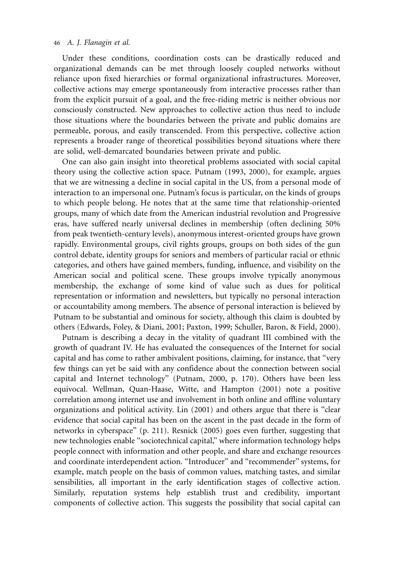Under these conditions, coordination costs can be drastically reduced and organizational demands can be met through loosely coupled networks without reliance upon fixed hierarchies or formal organizational infrastructures. Moreover, collective actions may emerge spontaneously from interactive processes rather than from the explicit pursuit of a goal, and the free-riding metric is neither obvious nor consciously constructed. New approaches to collective action thus need to include those situations where the boundaries between the private and public domains are permeable, porous, and easily transcended. From this perspective, collective action represents a broader range of theoretical possibilities beyond situations where there are solid, well-demarcated boundaries between private and public.

One can also gain insight into theoretical problems associated with social capital theory using the collective action space. Putnam (1993, 2000), for example, argues that we are witnessing a decline in social capital in the US, from a personal mode of interaction to an impersonal one. Putnam's focus is particular, on the kinds of groups to which people belong. He notes that at the same time that relationship-oriented groups, many of which date from the American industrial revolution and Progressive eras, have suffered nearly universal declines in membership (often declining 50% from peak twentieth-century levels), anonymous interest-oriented groups have grown rapidly. Environmental groups, civil rights groups, groups on both sides of the gun control debate, identity groups for seniors and members of particular racial or ethnic categories, and others have gained members, funding, influence, and visibility on the American social and political scene. These groups involve typically anonymous membership, the exchange of some kind of value such as dues for political representation or information and newsletters, but typically no personal interaction or accountability among members. The absence of personal interaction is believed by Putnam to be substantial and ominous for society, although this claim is doubted by others (Edwards, Foley, & Diani, 2001; Paxton, 1999; Schuller, Baron, & Field, 2000).

Putnam is describing a decay in the vitality of quadrant III combined with the growth of quadrant IV. He has evaluated the consequences of the Internet for social capital and has come to rather ambivalent positions, claiming, for instance, that ''very few things can yet be said with any confidence about the connection between social capital and Internet technology'' (Putnam, 2000, p. 170). Others have been less equivocal. Wellman, Quan-Haase, Witte, and Hampton (2001) note a positive correlation among internet use and involvement in both online and offline voluntary organizations and political activity. Lin (2001) and others argue that there is ''clear evidence that social capital has been on the ascent in the past decade in the form of networks in cyberspace'' (p. 211). Resnick (2005) goes even further, suggesting that new technologies enable ''sociotechnical capital,'' where information technology helps people connect with information and other people, and share and exchange resources and coordinate interdependent action. ''Introducer'' and ''recommender'' systems, for example, match people on the basis of common values, matching tastes, and similar sensibilities, all important in the early identification stages of collective action. Similarly, reputation systems help establish trust and credibility, important components of collective action. This suggests the possibility that social capital can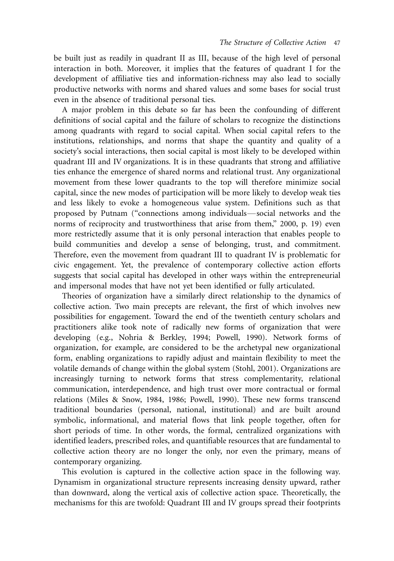be built just as readily in quadrant II as III, because of the high level of personal interaction in both. Moreover, it implies that the features of quadrant I for the development of affiliative ties and information-richness may also lead to socially productive networks with norms and shared values and some bases for social trust even in the absence of traditional personal ties.

A major problem in this debate so far has been the confounding of different definitions of social capital and the failure of scholars to recognize the distinctions among quadrants with regard to social capital. When social capital refers to the institutions, relationships, and norms that shape the quantity and quality of a society's social interactions, then social capital is most likely to be developed within quadrant III and IV organizations. It is in these quadrants that strong and affiliative ties enhance the emergence of shared norms and relational trust. Any organizational movement from these lower quadrants to the top will therefore minimize social capital, since the new modes of participation will be more likely to develop weak ties and less likely to evoke a homogeneous value system. Definitions such as that proposed by Putnam (''connections among individuals\*/social networks and the norms of reciprocity and trustworthiness that arise from them,'' 2000, p. 19) even more restrictedly assume that it is only personal interaction that enables people to build communities and develop a sense of belonging, trust, and commitment. Therefore, even the movement from quadrant III to quadrant IV is problematic for civic engagement. Yet, the prevalence of contemporary collective action efforts suggests that social capital has developed in other ways within the entrepreneurial and impersonal modes that have not yet been identified or fully articulated.

Theories of organization have a similarly direct relationship to the dynamics of collective action. Two main precepts are relevant, the first of which involves new possibilities for engagement. Toward the end of the twentieth century scholars and practitioners alike took note of radically new forms of organization that were developing (e.g., Nohria & Berkley, 1994; Powell, 1990). Network forms of organization, for example, are considered to be the archetypal new organizational form, enabling organizations to rapidly adjust and maintain flexibility to meet the volatile demands of change within the global system (Stohl, 2001). Organizations are increasingly turning to network forms that stress complementarity, relational communication, interdependence, and high trust over more contractual or formal relations (Miles & Snow, 1984, 1986; Powell, 1990). These new forms transcend traditional boundaries (personal, national, institutional) and are built around symbolic, informational, and material flows that link people together, often for short periods of time. In other words, the formal, centralized organizations with identified leaders, prescribed roles, and quantifiable resources that are fundamental to collective action theory are no longer the only, nor even the primary, means of contemporary organizing.

This evolution is captured in the collective action space in the following way. Dynamism in organizational structure represents increasing density upward, rather than downward, along the vertical axis of collective action space. Theoretically, the mechanisms for this are twofold: Quadrant III and IV groups spread their footprints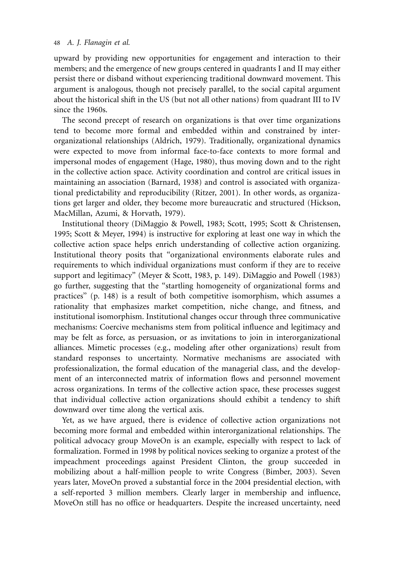upward by providing new opportunities for engagement and interaction to their members; and the emergence of new groups centered in quadrants I and II may either persist there or disband without experiencing traditional downward movement. This argument is analogous, though not precisely parallel, to the social capital argument about the historical shift in the US (but not all other nations) from quadrant III to IV since the 1960s.

The second precept of research on organizations is that over time organizations tend to become more formal and embedded within and constrained by interorganizational relationships (Aldrich, 1979). Traditionally, organizational dynamics were expected to move from informal face-to-face contexts to more formal and impersonal modes of engagement (Hage, 1980), thus moving down and to the right in the collective action space. Activity coordination and control are critical issues in maintaining an association (Barnard, 1938) and control is associated with organizational predictability and reproducibility (Ritzer, 2001). In other words, as organizations get larger and older, they become more bureaucratic and structured (Hickson, MacMillan, Azumi, & Horvath, 1979).

Institutional theory (DiMaggio & Powell, 1983; Scott, 1995; Scott & Christensen, 1995; Scott & Meyer, 1994) is instructive for exploring at least one way in which the collective action space helps enrich understanding of collective action organizing. Institutional theory posits that ''organizational environments elaborate rules and requirements to which individual organizations must conform if they are to receive support and legitimacy'' (Meyer & Scott, 1983, p. 149). DiMaggio and Powell (1983) go further, suggesting that the ''startling homogeneity of organizational forms and practices'' (p. 148) is a result of both competitive isomorphism, which assumes a rationality that emphasizes market competition, niche change, and fitness, and institutional isomorphism. Institutional changes occur through three communicative mechanisms: Coercive mechanisms stem from political influence and legitimacy and may be felt as force, as persuasion, or as invitations to join in interorganizational alliances. Mimetic processes (e.g., modeling after other organizations) result from standard responses to uncertainty. Normative mechanisms are associated with professionalization, the formal education of the managerial class, and the development of an interconnected matrix of information flows and personnel movement across organizations. In terms of the collective action space, these processes suggest that individual collective action organizations should exhibit a tendency to shift downward over time along the vertical axis.

Yet, as we have argued, there is evidence of collective action organizations not becoming more formal and embedded within interorganizational relationships. The political advocacy group MoveOn is an example, especially with respect to lack of formalization. Formed in 1998 by political novices seeking to organize a protest of the impeachment proceedings against President Clinton, the group succeeded in mobilizing about a half-million people to write Congress (Bimber, 2003). Seven years later, MoveOn proved a substantial force in the 2004 presidential election, with a self-reported 3 million members. Clearly larger in membership and influence, MoveOn still has no office or headquarters. Despite the increased uncertainty, need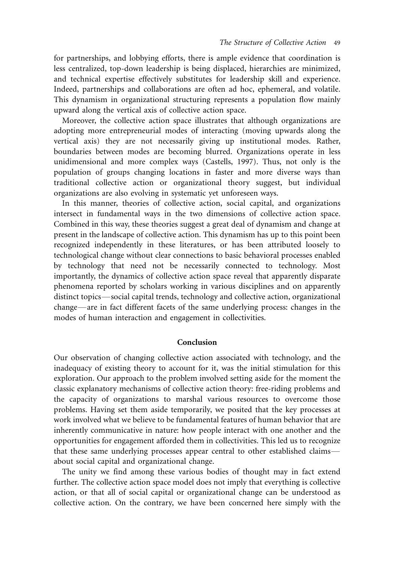for partnerships, and lobbying efforts, there is ample evidence that coordination is less centralized, top-down leadership is being displaced, hierarchies are minimized, and technical expertise effectively substitutes for leadership skill and experience. Indeed, partnerships and collaborations are often ad hoc, ephemeral, and volatile. This dynamism in organizational structuring represents a population flow mainly upward along the vertical axis of collective action space.

Moreover, the collective action space illustrates that although organizations are adopting more entrepreneurial modes of interacting (moving upwards along the vertical axis) they are not necessarily giving up institutional modes. Rather, boundaries between modes are becoming blurred. Organizations operate in less unidimensional and more complex ways (Castells, 1997). Thus, not only is the population of groups changing locations in faster and more diverse ways than traditional collective action or organizational theory suggest, but individual organizations are also evolving in systematic yet unforeseen ways.

In this manner, theories of collective action, social capital, and organizations intersect in fundamental ways in the two dimensions of collective action space. Combined in this way, these theories suggest a great deal of dynamism and change at present in the landscape of collective action. This dynamism has up to this point been recognized independently in these literatures, or has been attributed loosely to technological change without clear connections to basic behavioral processes enabled by technology that need not be necessarily connected to technology. Most importantly, the dynamics of collective action space reveal that apparently disparate phenomena reported by scholars working in various disciplines and on apparently distinct topics—social capital trends, technology and collective action, organizational change—are in fact different facets of the same underlying process: changes in the modes of human interaction and engagement in collectivities.

## Conclusion

Our observation of changing collective action associated with technology, and the inadequacy of existing theory to account for it, was the initial stimulation for this exploration. Our approach to the problem involved setting aside for the moment the classic explanatory mechanisms of collective action theory: free-riding problems and the capacity of organizations to marshal various resources to overcome those problems. Having set them aside temporarily, we posited that the key processes at work involved what we believe to be fundamental features of human behavior that are inherently communicative in nature: how people interact with one another and the opportunities for engagement afforded them in collectivities. This led us to recognize that these same underlying processes appear central to other established claimsabout social capital and organizational change.

The unity we find among these various bodies of thought may in fact extend further. The collective action space model does not imply that everything is collective action, or that all of social capital or organizational change can be understood as collective action. On the contrary, we have been concerned here simply with the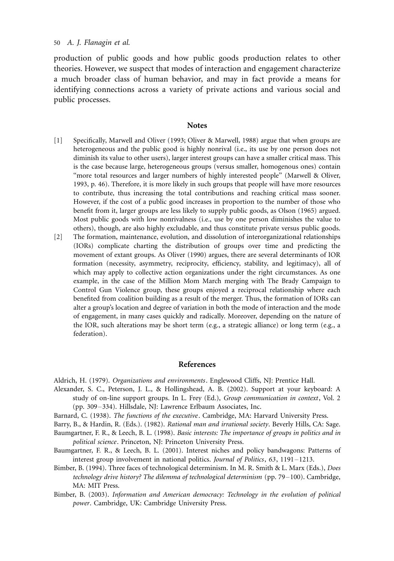production of public goods and how public goods production relates to other theories. However, we suspect that modes of interaction and engagement characterize a much broader class of human behavior, and may in fact provide a means for identifying connections across a variety of private actions and various social and public processes.

## **Notes**

- [1] Specifically, Marwell and Oliver (1993; Oliver & Marwell, 1988) argue that when groups are heterogeneous and the public good is highly nonrival (i.e., its use by one person does not diminish its value to other users), larger interest groups can have a smaller critical mass. This is the case because large, heterogeneous groups (versus smaller, homogenous ones) contain ''more total resources and larger numbers of highly interested people'' (Marwell & Oliver, 1993, p. 46). Therefore, it is more likely in such groups that people will have more resources to contribute, thus increasing the total contributions and reaching critical mass sooner. However, if the cost of a public good increases in proportion to the number of those who benefit from it, larger groups are less likely to supply public goods, as Olson (1965) argued. Most public goods with low nonrivalness (i.e., use by one person diminishes the value to others), though, are also highly excludable, and thus constitute private versus public goods.
- [2] The formation, maintenance, evolution, and dissolution of interorganizational relationships (IORs) complicate charting the distribution of groups over time and predicting the movement of extant groups. As Oliver (1990) argues, there are several determinants of IOR formation (necessity, asymmetry, reciprocity, efficiency, stability, and legitimacy), all of which may apply to collective action organizations under the right circumstances. As one example, in the case of the Million Mom March merging with The Brady Campaign to Control Gun Violence group, these groups enjoyed a reciprocal relationship where each benefited from coalition building as a result of the merger. Thus, the formation of IORs can alter a group's location and degree of variation in both the mode of interaction and the mode of engagement, in many cases quickly and radically. Moreover, depending on the nature of the IOR, such alterations may be short term (e.g., a strategic alliance) or long term (e.g., a federation).

## References

Aldrich, H. (1979). Organizations and environments. Englewood Cliffs, NJ: Prentice Hall.

Alexander, S. C., Peterson, J. L., & Hollingshead, A. B. (2002). Support at your keyboard: A study of on-line support groups. In L. Frey (Ed.), Group communication in context, Vol. 2 (pp. 309-334). Hillsdale, NJ: Lawrence Erlbaum Associates, Inc.

Barnard, C. (1938). The functions of the executive. Cambridge, MA: Harvard University Press.

Barry, B., & Hardin, R. (Eds.). (1982). Rational man and irrational society. Beverly Hills, CA: Sage.

- Baumgartner, F. R., & Leech, B. L. (1998). Basic interests: The importance of groups in politics and in political science. Princeton, NJ: Princeton University Press.
- Baumgartner, F. R., & Leech, B. L. (2001). Interest niches and policy bandwagons: Patterns of interest group involvement in national politics. *Journal of Politics*,  $63$ ,  $1191-1213$ .
- Bimber, B. (1994). Three faces of technological determinism. In M. R. Smith & L. Marx (Eds.), Does technology drive history? The dilemma of technological determinism (pp. 79–100). Cambridge, MA: MIT Press.
- Bimber, B. (2003). Information and American democracy: Technology in the evolution of political power. Cambridge, UK: Cambridge University Press.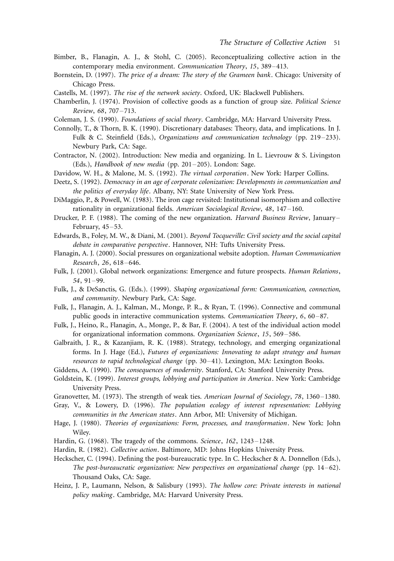- Bimber, B., Flanagin, A. J., & Stohl, C. (2005). Reconceptualizing collective action in the contemporary media environment. Communication Theory, 15, 389-413.
- Bornstein, D. (1997). The price of a dream: The story of the Grameen bank. Chicago: University of Chicago Press.
- Castells, M. (1997). The rise of the network society. Oxford, UK: Blackwell Publishers.
- Chamberlin, J. (1974). Provision of collective goods as a function of group size. Political Science Review, 68, 707-713.
- Coleman, J. S. (1990). Foundations of social theory. Cambridge, MA: Harvard University Press.
- Connolly, T., & Thorn, B. K. (1990). Discretionary databases: Theory, data, and implications. In J. Fulk & C. Steinfield (Eds.), Organizations and communication technology (pp. 219-233). Newbury Park, CA: Sage.
- Contractor, N. (2002). Introduction: New media and organizing. In L. Lievrouw & S. Livingston (Eds.), Handbook of new media (pp. 201-205). London: Sage.
- Davidow, W. H., & Malone, M. S. (1992). The virtual corporation. New York: Harper Collins.
- Deetz, S. (1992). Democracy in an age of corporate colonization: Developments in communication and the politics of everyday life. Albany, NY: State University of New York Press.
- DiMaggio, P., & Powell, W. (1983). The iron cage revisited: Institutional isomorphism and collective rationality in organizational fields. American Sociological Review,  $48$ ,  $147-160$ .
- Drucker, P. F. (1988). The coming of the new organization. Harvard Business Review, January-February,  $45-53$ .
- Edwards, B., Foley, M. W., & Diani, M. (2001). Beyond Tocqueville: Civil society and the social capital debate in comparative perspective. Hannover, NH: Tufts University Press.
- Flanagin, A. J. (2000). Social pressures on organizational website adoption. Human Communication Research, 26, 618-646.
- Fulk, J. (2001). Global network organizations: Emergence and future prospects. Human Relations,  $54, 91-99.$
- Fulk, J., & DeSanctis, G. (Eds.). (1999). Shaping organizational form: Communication, connection, and community. Newbury Park, CA: Sage.
- Fulk, J., Flanagin, A. J., Kalman, M., Monge, P. R., & Ryan, T. (1996). Connective and communal public goods in interactive communication systems. Communication Theory,  $6, 60-87$ .
- Fulk, J., Heino, R., Flanagin, A., Monge, P., & Bar, F. (2004). A test of the individual action model for organizational information commons. Organization Science, 15, 569-586.
- Galbraith, J. R., & Kazanjiam, R. K. (1988). Strategy, technology, and emerging organizational forms. In J. Hage (Ed.), Futures of organizations: Innovating to adapt strategy and human resources to rapid technological change (pp. 30-41). Lexington, MA: Lexington Books.
- Giddens, A. (1990). The consequences of modernity. Stanford, CA: Stanford University Press.
- Goldstein, K. (1999). Interest groups, lobbying and participation in America. New York: Cambridge University Press.
- Granovetter, M. (1973). The strength of weak ties. American Journal of Sociology, 78, 1360-1380.
- Gray, V., & Lowery, D. (1996). The population ecology of interest representation: Lobbying communities in the American states. Ann Arbor, MI: University of Michigan.
- Hage, J. (1980). Theories of organizations: Form, processes, and transformation. New York: John Wiley.
- Hardin, G. (1968). The tragedy of the commons. Science, 162, 1243-1248.
- Hardin, R. (1982). Collective action. Baltimore, MD: Johns Hopkins University Press.
- Heckscher, C. (1994). Defining the post-bureaucratic type. In C. Heckscher & A. Donnellon (Eds.), The post-bureaucratic organization: New perspectives on organizational change (pp.  $14-62$ ). Thousand Oaks, CA: Sage.
- Heinz, J. P., Laumann, Nelson, & Salisbury (1993). The hollow core: Private interests in national policy making. Cambridge, MA: Harvard University Press.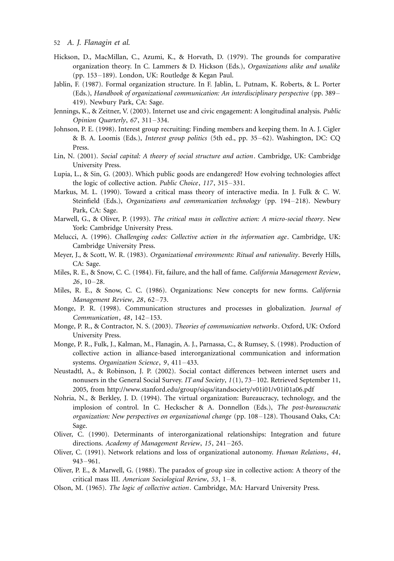- Hickson, D., MacMillan, C., Azumi, K., & Horvath, D. (1979). The grounds for comparative organization theory. In C. Lammers & D. Hickson (Eds.), Organizations alike and unalike (pp. 153-189). London, UK: Routledge & Kegan Paul.
- Jablin, F. (1987). Formal organization structure. In F. Jablin, L. Putnam, K. Roberts, & L. Porter (Eds.), Handbook of organizational communication: An interdisciplinary perspective (pp. 389– 419). Newbury Park, CA: Sage.
- Jennings, K., & Zeitner, V. (2003). Internet use and civic engagement: A longitudinal analysis. Public Opinion Quarterly,  $67, 311-334$ .
- Johnson, P. E. (1998). Interest group recruiting: Finding members and keeping them. In A. J. Cigler & B. A. Loomis (Eds.), *Interest group politics* (5th ed., pp. 35–62). Washington, DC: CO Press.
- Lin, N. (2001). Social capital: A theory of social structure and action. Cambridge, UK: Cambridge University Press.
- Lupia, L., & Sin, G. (2003). Which public goods are endangered? How evolving technologies affect the logic of collective action. Public Choice, 117, 315-331.
- Markus, M. L. (1990). Toward a critical mass theory of interactive media. In J. Fulk & C. W. Steinfield (Eds.), Organizations and communication technology (pp. 194-218). Newbury Park, CA: Sage.
- Marwell, G., & Oliver, P. (1993). The critical mass in collective action: A micro-social theory. New York: Cambridge University Press.
- Melucci, A. (1996). Challenging codes: Collective action in the information age. Cambridge, UK: Cambridge University Press.
- Meyer, J., & Scott, W. R. (1983). Organizational environments: Ritual and rationality. Beverly Hills, CA: Sage.
- Miles, R. E., & Snow, C. C. (1984). Fit, failure, and the hall of fame. California Management Review,  $26, 10-28.$
- Miles, R. E., & Snow, C. C. (1986). Organizations: New concepts for new forms. California Management Review, 28, 62-73.
- Monge, P. R. (1998). Communication structures and processes in globalization. Journal of Communication,  $48$ ,  $142-153$ .
- Monge, P. R., & Contractor, N. S. (2003). Theories of communication networks. Oxford, UK: Oxford University Press.
- Monge, P. R., Fulk, J., Kalman, M., Flanagin, A. J., Parnassa, C., & Rumsey, S. (1998). Production of collective action in alliance-based interorganizational communication and information systems. Organization Science,  $9, 411-433$ .
- Neustadtl, A., & Robinson, J. P. (2002). Social contact differences between internet users and nonusers in the General Social Survey. IT and Society,  $1(1)$ ,  $73-102$ . Retrieved September 11, 2005, from http://www.stanford.edu/group/siqss/itandsociety/v01i01/v01i01a06.pdf
- Nohria, N., & Berkley, J. D. (1994). The virtual organization: Bureaucracy, technology, and the implosion of control. In C. Heckscher & A. Donnellon (Eds.), The post-bureaucratic organization: New perspectives on organizational change (pp.  $108-128$ ). Thousand Oaks, CA: Sage.
- Oliver, C. (1990). Determinants of interorganizational relationships: Integration and future directions. Academy of Management Review,  $15$ ,  $241-265$ .
- Oliver, C. (1991). Network relations and loss of organizational autonomy. Human Relations, 44, 943-961.
- Oliver, P. E., & Marwell, G. (1988). The paradox of group size in collective action: A theory of the critical mass III. American Sociological Review, 53,  $1-8$ .
- Olson, M. (1965). The logic of collective action. Cambridge, MA: Harvard University Press.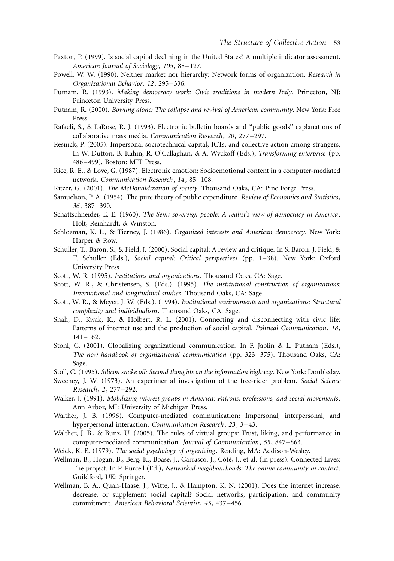- Paxton, P. (1999). Is social capital declining in the United States? A multiple indicator assessment. American Journal of Sociology,  $105, 88-127$ .
- Powell, W. W. (1990). Neither market nor hierarchy: Network forms of organization. Research in Organizational Behavior, 12, 295-336.
- Putnam, R. (1993). Making democracy work: Civic traditions in modern Italy. Princeton, NJ: Princeton University Press.
- Putnam, R. (2000). Bowling alone: The collapse and revival of American community. New York: Free Press.
- Rafaeli, S., & LaRose, R. J. (1993). Electronic bulletin boards and ''public goods'' explanations of collaborative mass media. Communication Research,  $20$ ,  $277-297$ .
- Resnick, P. (2005). Impersonal sociotechnical capital, ICTs, and collective action among strangers. In W. Dutton, B. Kahin, R. O'Callaghan, & A. Wyckoff (Eds.), Transforming enterprise (pp. 486-499). Boston: MIT Press.
- Rice, R. E., & Love, G. (1987). Electronic emotion: Socioemotional content in a computer-mediated network. Communication Research, 14, 85-108.
- Ritzer, G. (2001). The McDonaldization of society. Thousand Oaks, CA: Pine Forge Press.
- Samuelson, P. A. (1954). The pure theory of public expenditure. Review of Economics and Statistics,  $36, 387 - 390.$
- Schattschneider, E. E. (1960). The Semi-sovereign people: A realist's view of democracy in America. Holt, Reinhardt, & Winston.
- Schlozman, K. L., & Tierney, J. (1986). Organized interests and American democracy. New York: Harper & Row.
- Schuller, T., Baron, S., & Field, J. (2000). Social capital: A review and critique. In S. Baron, J. Field, & T. Schuller (Eds.), Social capital: Critical perspectives (pp. 1-38). New York: Oxford University Press.
- Scott, W. R. (1995). Institutions and organizations. Thousand Oaks, CA: Sage.
- Scott, W. R., & Christensen, S. (Eds.). (1995). The institutional construction of organizations: International and longitudinal studies. Thousand Oaks, CA: Sage.
- Scott, W. R., & Meyer, J. W. (Eds.). (1994). Institutional environments and organizations: Structural complexity and individualism. Thousand Oaks, CA: Sage.
- Shah, D., Kwak, K., & Holbert, R. L. (2001). Connecting and disconnecting with civic life: Patterns of internet use and the production of social capital. Political Communication, 18,  $141 - 162.$
- Stohl, C. (2001). Globalizing organizational communication. In F. Jablin & L. Putnam (Eds.), The new handbook of organizational communication (pp.  $323-375$ ). Thousand Oaks, CA: Sage.
- Stoll, C. (1995). Silicon snake oil: Second thoughts on the information highway. New York: Doubleday.
- Sweeney, J. W. (1973). An experimental investigation of the free-rider problem. Social Science Research, 2, 277-292.
- Walker, J. (1991). Mobilizing interest groups in America: Patrons, professions, and social movements. Ann Arbor, MI: University of Michigan Press.
- Walther, J. B. (1996). Computer-mediated communication: Impersonal, interpersonal, and hyperpersonal interaction. Communication Research, 23, 3-43.
- Walther, J. B., & Bunz, U. (2005). The rules of virtual groups: Trust, liking, and performance in computer-mediated communication. Journal of Communication, 55, 847-863.
- Weick, K. E. (1979). The social psychology of organizing . Reading, MA: Addison-Wesley.
- Wellman, B., Hogan, B., Berg, K., Boase, J., Carrasco, J., Côté, J., et al. (in press). Connected Lives: The project. In P. Purcell (Ed.), Networked neighbourhoods: The online community in context. Guildford, UK: Springer.
- Wellman, B. A., Quan-Haase, J., Witte, J., & Hampton, K. N. (2001). Does the internet increase, decrease, or supplement social capital? Social networks, participation, and community commitment. American Behavioral Scientist, 45, 437-456.